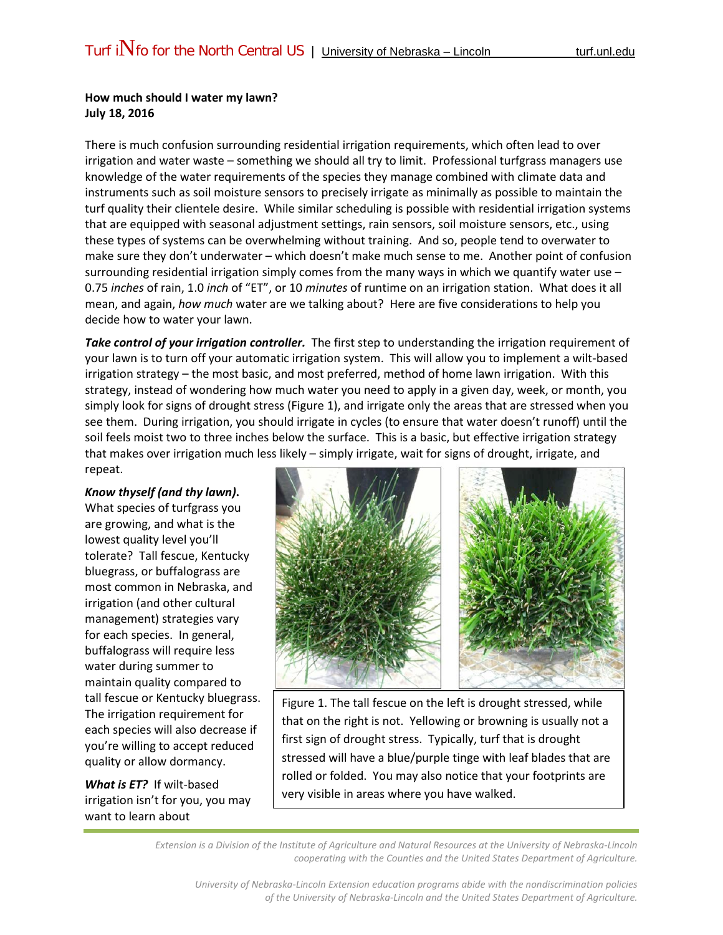## **How much should I water my lawn? July 18, 2016**

There is much confusion surrounding residential irrigation requirements, which often lead to over irrigation and water waste – something we should all try to limit. Professional turfgrass managers use knowledge of the water requirements of the species they manage combined with climate data and instruments such as soil moisture sensors to precisely irrigate as minimally as possible to maintain the turf quality their clientele desire. While similar scheduling is possible with residential irrigation systems that are equipped with seasonal adjustment settings, rain sensors, soil moisture sensors, etc., using these types of systems can be overwhelming without training. And so, people tend to overwater to make sure they don't underwater – which doesn't make much sense to me. Another point of confusion surrounding residential irrigation simply comes from the many ways in which we quantify water use -0.75 *inches* of rain, 1.0 *inch* of "ET", or 10 *minutes* of runtime on an irrigation station. What does it all mean, and again, *how much* water are we talking about? Here are five considerations to help you decide how to water your lawn.

*Take control of your irrigation controller.* The first step to understanding the irrigation requirement of your lawn is to turn off your automatic irrigation system. This will allow you to implement a wilt-based irrigation strategy – the most basic, and most preferred, method of home lawn irrigation. With this strategy, instead of wondering how much water you need to apply in a given day, week, or month, you simply look for signs of drought stress (Figure 1), and irrigate only the areas that are stressed when you see them. During irrigation, you should irrigate in cycles (to ensure that water doesn't runoff) until the soil feels moist two to three inches below the surface. This is a basic, but effective irrigation strategy that makes over irrigation much less likely – simply irrigate, wait for signs of drought, irrigate, and repeat.

## *Know thyself (and thy lawn)***.**

What species of turfgrass you are growing, and what is the lowest quality level you'll tolerate? Tall fescue, Kentucky bluegrass, or buffalograss are most common in Nebraska, and irrigation (and other cultural management) strategies vary for each species. In general, buffalograss will require less water during summer to maintain quality compared to tall fescue or Kentucky bluegrass. The irrigation requirement for each species will also decrease if you're willing to accept reduced quality or allow dormancy.

*What is ET?* If wilt-based irrigation isn't for you, you may want to learn about



Figure 1. The tall fescue on the left is drought stressed, while that on the right is not. Yellowing or browning is usually not a first sign of drought stress. Typically, turf that is drought stressed will have a blue/purple tinge with leaf blades that are rolled or folded. You may also notice that your footprints are very visible in areas where you have walked.

*Extension is a Division of the Institute of Agriculture and Natural Resources at the University of Nebraska-Lincoln cooperating with the Counties and the United States Department of Agriculture.*

*University of Nebraska-Lincoln Extension education programs abide with the nondiscrimination policies of the University of Nebraska-Lincoln and the United States Department of Agriculture.*